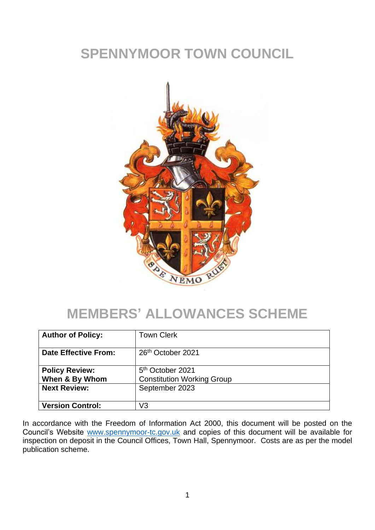# **SPENNYMOOR TOWN COUNCIL**



#### **MEMBERS' ALLOWANCES SCHEME**

| <b>Author of Policy:</b>    | <b>Town Clerk</b>                 |
|-----------------------------|-----------------------------------|
|                             |                                   |
|                             |                                   |
| <b>Date Effective From:</b> | 26 <sup>th</sup> October 2021     |
|                             |                                   |
|                             |                                   |
| <b>Policy Review:</b>       | 5 <sup>th</sup> October 2021      |
| When & By Whom              | <b>Constitution Working Group</b> |
|                             |                                   |
| <b>Next Review:</b>         | September 2023                    |
|                             |                                   |
|                             |                                   |
| <b>Version Control:</b>     | V3                                |
|                             |                                   |

In accordance with the Freedom of Information Act 2000, this document will be posted on the Council's Website [www.spennymoor-tc.gov.uk](http://www.spennymoor-tc.gov.uk/) and copies of this document will be available for inspection on deposit in the Council Offices, Town Hall, Spennymoor. Costs are as per the model publication scheme.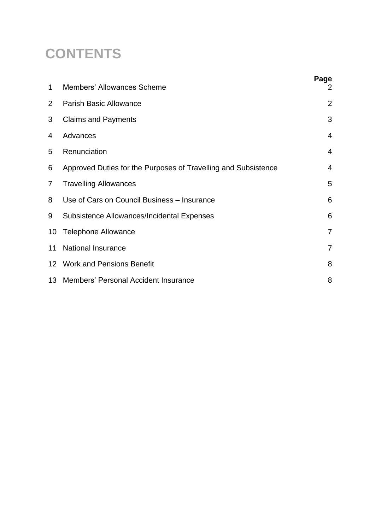# **CONTENTS**

| 1              | <b>Members' Allowances Scheme</b>                              | Page<br>2      |
|----------------|----------------------------------------------------------------|----------------|
| $\overline{2}$ | <b>Parish Basic Allowance</b>                                  | $\overline{2}$ |
| 3              | <b>Claims and Payments</b>                                     | 3              |
| 4              | Advances                                                       | $\overline{4}$ |
| 5              | Renunciation                                                   | $\overline{4}$ |
| 6              | Approved Duties for the Purposes of Travelling and Subsistence | $\overline{4}$ |
| 7              | <b>Travelling Allowances</b>                                   | 5              |
| 8              | Use of Cars on Council Business - Insurance                    | 6              |
| 9              | Subsistence Allowances/Incidental Expenses                     | 6              |
| 10             | <b>Telephone Allowance</b>                                     | $\overline{7}$ |
| 11             | <b>National Insurance</b>                                      | $\overline{7}$ |
|                | 12 Work and Pensions Benefit                                   | 8              |
|                | 13 Members' Personal Accident Insurance                        | 8              |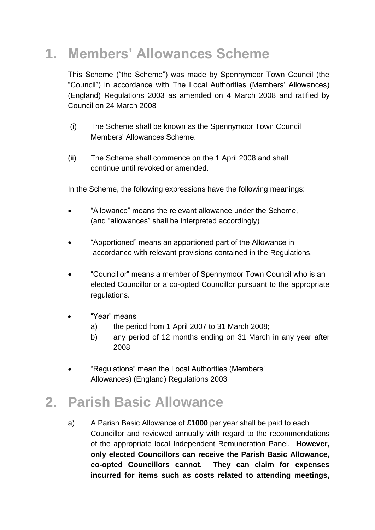# **1. Members' Allowances Scheme**

This Scheme ("the Scheme") was made by Spennymoor Town Council (the "Council") in accordance with The Local Authorities (Members' Allowances) (England) Regulations 2003 as amended on 4 March 2008 and ratified by Council on 24 March 2008

- (i) The Scheme shall be known as the Spennymoor Town Council Members' Allowances Scheme.
- (ii) The Scheme shall commence on the 1 April 2008 and shall continue until revoked or amended.

In the Scheme, the following expressions have the following meanings:

- "Allowance" means the relevant allowance under the Scheme, (and "allowances" shall be interpreted accordingly)
- "Apportioned" means an apportioned part of the Allowance in accordance with relevant provisions contained in the Regulations.
- "Councillor" means a member of Spennymoor Town Council who is an elected Councillor or a co-opted Councillor pursuant to the appropriate regulations.
- "Year" means
	- a) the period from 1 April 2007 to 31 March 2008;
	- b) any period of 12 months ending on 31 March in any year after 2008
- "Regulations" mean the Local Authorities (Members' Allowances) (England) Regulations 2003

# **2. Parish Basic Allowance**

a) A Parish Basic Allowance of **£1000** per year shall be paid to each Councillor and reviewed annually with regard to the recommendations of the appropriate local Independent Remuneration Panel. **However, only elected Councillors can receive the Parish Basic Allowance, co-opted Councillors cannot. They can claim for expenses incurred for items such as costs related to attending meetings,**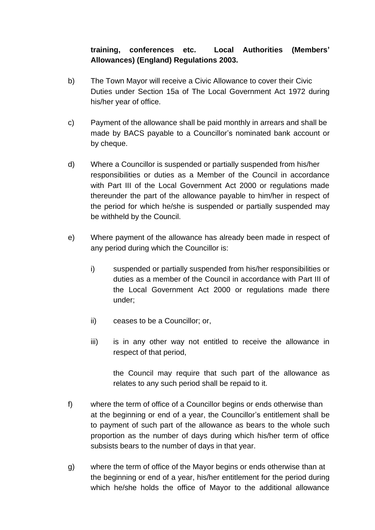#### **training, conferences etc. Local Authorities (Members' Allowances) (England) Regulations 2003.**

- b) The Town Mayor will receive a Civic Allowance to cover their Civic Duties under Section 15a of The Local Government Act 1972 during his/her year of office.
- c) Payment of the allowance shall be paid monthly in arrears and shall be made by BACS payable to a Councillor's nominated bank account or by cheque.
- d) Where a Councillor is suspended or partially suspended from his/her responsibilities or duties as a Member of the Council in accordance with Part III of the Local Government Act 2000 or regulations made thereunder the part of the allowance payable to him/her in respect of the period for which he/she is suspended or partially suspended may be withheld by the Council.
- e) Where payment of the allowance has already been made in respect of any period during which the Councillor is:
	- i) suspended or partially suspended from his/her responsibilities or duties as a member of the Council in accordance with Part III of the Local Government Act 2000 or regulations made there under;
	- ii) ceases to be a Councillor; or,
	- iii) is in any other way not entitled to receive the allowance in respect of that period,

the Council may require that such part of the allowance as relates to any such period shall be repaid to it.

- f) where the term of office of a Councillor begins or ends otherwise than at the beginning or end of a year, the Councillor's entitlement shall be to payment of such part of the allowance as bears to the whole such proportion as the number of days during which his/her term of office subsists bears to the number of days in that year.
- g) where the term of office of the Mayor begins or ends otherwise than at the beginning or end of a year, his/her entitlement for the period during which he/she holds the office of Mayor to the additional allowance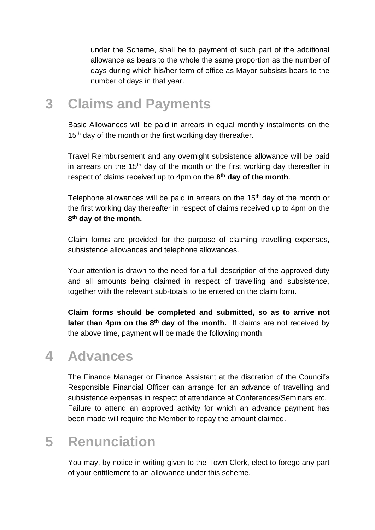under the Scheme, shall be to payment of such part of the additional allowance as bears to the whole the same proportion as the number of days during which his/her term of office as Mayor subsists bears to the number of days in that year.

#### **3 Claims and Payments**

Basic Allowances will be paid in arrears in equal monthly instalments on the 15<sup>th</sup> day of the month or the first working day thereafter.

Travel Reimbursement and any overnight subsistence allowance will be paid in arrears on the 15<sup>th</sup> day of the month or the first working day thereafter in respect of claims received up to 4pm on the **8 th day of the month**.

Telephone allowances will be paid in arrears on the  $15<sup>th</sup>$  day of the month or the first working day thereafter in respect of claims received up to 4pm on the **8 th day of the month.**

Claim forms are provided for the purpose of claiming travelling expenses, subsistence allowances and telephone allowances.

Your attention is drawn to the need for a full description of the approved duty and all amounts being claimed in respect of travelling and subsistence, together with the relevant sub-totals to be entered on the claim form.

**Claim forms should be completed and submitted, so as to arrive not later than 4pm on the 8th day of the month.** If claims are not received by the above time, payment will be made the following month.

#### **4 Advances**

The Finance Manager or Finance Assistant at the discretion of the Council's Responsible Financial Officer can arrange for an advance of travelling and subsistence expenses in respect of attendance at Conferences/Seminars etc. Failure to attend an approved activity for which an advance payment has been made will require the Member to repay the amount claimed.

# **5 Renunciation**

You may, by notice in writing given to the Town Clerk, elect to forego any part of your entitlement to an allowance under this scheme.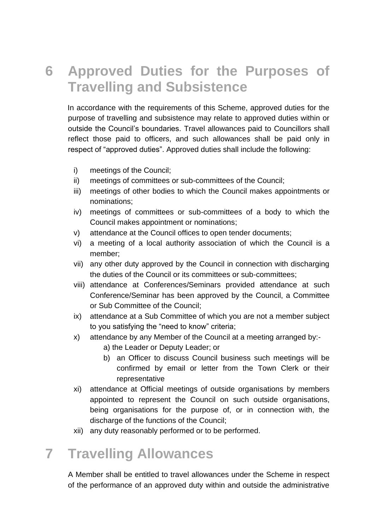### **6 Approved Duties for the Purposes of Travelling and Subsistence**

In accordance with the requirements of this Scheme, approved duties for the purpose of travelling and subsistence may relate to approved duties within or outside the Council's boundaries. Travel allowances paid to Councillors shall reflect those paid to officers, and such allowances shall be paid only in respect of "approved duties". Approved duties shall include the following:

- i) meetings of the Council;
- ii) meetings of committees or sub-committees of the Council;
- iii) meetings of other bodies to which the Council makes appointments or nominations;
- iv) meetings of committees or sub-committees of a body to which the Council makes appointment or nominations;
- v) attendance at the Council offices to open tender documents;
- vi) a meeting of a local authority association of which the Council is a member;
- vii) any other duty approved by the Council in connection with discharging the duties of the Council or its committees or sub-committees;
- viii) attendance at Conferences/Seminars provided attendance at such Conference/Seminar has been approved by the Council, a Committee or Sub Committee of the Council;
- ix) attendance at a Sub Committee of which you are not a member subject to you satisfying the "need to know" criteria;
- x) attendance by any Member of the Council at a meeting arranged by:
	- a) the Leader or Deputy Leader; or
	- b) an Officer to discuss Council business such meetings will be confirmed by email or letter from the Town Clerk or their representative
- xi) attendance at Official meetings of outside organisations by members appointed to represent the Council on such outside organisations, being organisations for the purpose of, or in connection with, the discharge of the functions of the Council;
- xii) any duty reasonably performed or to be performed.

#### **7 Travelling Allowances**

A Member shall be entitled to travel allowances under the Scheme in respect of the performance of an approved duty within and outside the administrative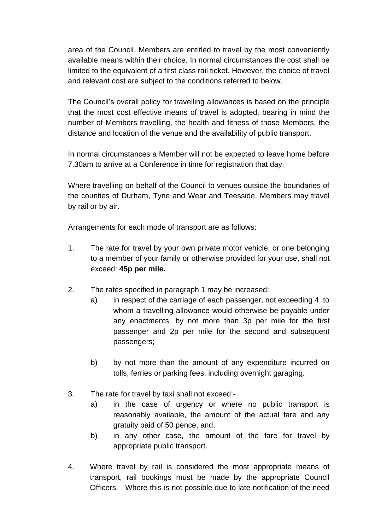area of the Council. Members are entitled to travel by the most conveniently available means within their choice. In normal circumstances the cost shall be limited to the equivalent of a first class rail ticket. However, the choice of travel and relevant cost are subject to the conditions referred to below.

The Council's overall policy for travelling allowances is based on the principle that the most cost effective means of travel is adopted, bearing in mind the number of Members travelling, the health and fitness of those Members, the distance and location of the venue and the availability of public transport.

In normal circumstances a Member will not be expected to leave home before 7.30am to arrive at a Conference in time for registration that day.

Where travelling on behalf of the Council to venues outside the boundaries of the counties of Durham, Tyne and Wear and Teesside, Members may travel by rail or by air.

Arrangements for each mode of transport are as follows:

- 1. The rate for travel by your own private motor vehicle, or one belonging to a member of your family or otherwise provided for your use, shall not exceed: **45p per mile.**
- 2. The rates specified in paragraph 1 may be increased:
	- a) in respect of the carriage of each passenger, not exceeding 4, to whom a travelling allowance would otherwise be payable under any enactments, by not more than 3p per mile for the first passenger and 2p per mile for the second and subsequent passengers;
	- b) by not more than the amount of any expenditure incurred on tolls, ferries or parking fees, including overnight garaging.
- 3. The rate for travel by taxi shall not exceed:
	- a) in the case of urgency or where no public transport is reasonably available, the amount of the actual fare and any gratuity paid of 50 pence, and,
	- b) in any other case, the amount of the fare for travel by appropriate public transport.
- 4. Where travel by rail is considered the most appropriate means of transport, rail bookings must be made by the appropriate Council Officers. Where this is not possible due to late notification of the need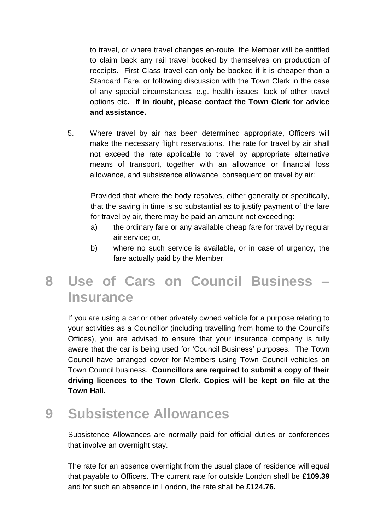to travel, or where travel changes en-route, the Member will be entitled to claim back any rail travel booked by themselves on production of receipts. First Class travel can only be booked if it is cheaper than a Standard Fare, or following discussion with the Town Clerk in the case of any special circumstances, e.g. health issues, lack of other travel options etc**. If in doubt, please contact the Town Clerk for advice and assistance.**

5. Where travel by air has been determined appropriate, Officers will make the necessary flight reservations. The rate for travel by air shall not exceed the rate applicable to travel by appropriate alternative means of transport, together with an allowance or financial loss allowance, and subsistence allowance, consequent on travel by air:

Provided that where the body resolves, either generally or specifically, that the saving in time is so substantial as to justify payment of the fare for travel by air, there may be paid an amount not exceeding:

- a) the ordinary fare or any available cheap fare for travel by regular air service; or,
- b) where no such service is available, or in case of urgency, the fare actually paid by the Member.

### **8 Use of Cars on Council Business – Insurance**

If you are using a car or other privately owned vehicle for a purpose relating to your activities as a Councillor (including travelling from home to the Council's Offices), you are advised to ensure that your insurance company is fully aware that the car is being used for 'Council Business' purposes. The Town Council have arranged cover for Members using Town Council vehicles on Town Council business. **Councillors are required to submit a copy of their driving licences to the Town Clerk. Copies will be kept on file at the Town Hall.**

#### **9 Subsistence Allowances**

Subsistence Allowances are normally paid for official duties or conferences that involve an overnight stay.

The rate for an absence overnight from the usual place of residence will equal that payable to Officers. The current rate for outside London shall be £**109.39** and for such an absence in London, the rate shall be **£124.76.**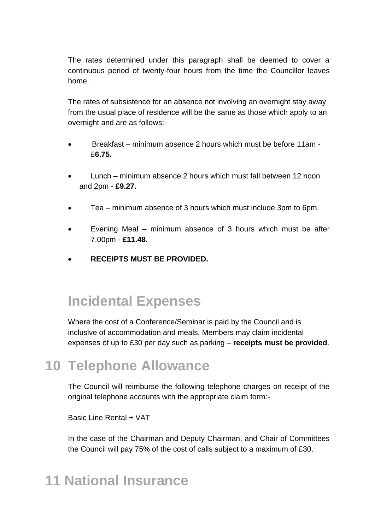The rates determined under this paragraph shall be deemed to cover a continuous period of twenty-four hours from the time the Councillor leaves home.

The rates of subsistence for an absence not involving an overnight stay away from the usual place of residence will be the same as those which apply to an overnight and are as follows:-

- Breakfast minimum absence 2 hours which must be before 11am £**6.75.**
- Lunch minimum absence 2 hours which must fall between 12 noon and 2pm - **£9.27.**
- Tea minimum absence of 3 hours which must include 3pm to 6pm.
- Evening Meal minimum absence of 3 hours which must be after 7.00pm - **£11.48.**
- **RECEIPTS MUST BE PROVIDED.**

#### **Incidental Expenses**

Where the cost of a Conference/Seminar is paid by the Council and is inclusive of accommodation and meals, Members may claim incidental expenses of up to £30 per day such as parking – **receipts must be provided**.

#### **10 Telephone Allowance**

The Council will reimburse the following telephone charges on receipt of the original telephone accounts with the appropriate claim form:-

Basic Line Rental + VAT

In the case of the Chairman and Deputy Chairman, and Chair of Committees the Council will pay 75% of the cost of calls subject to a maximum of £30.

# **11 National Insurance**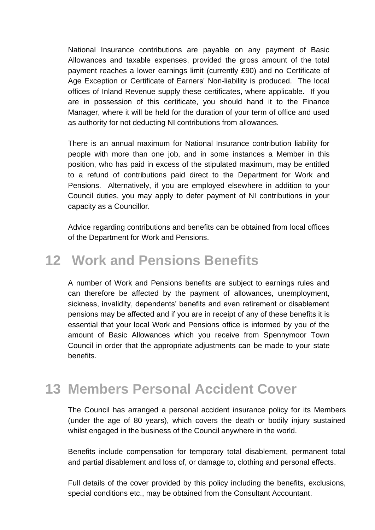National Insurance contributions are payable on any payment of Basic Allowances and taxable expenses, provided the gross amount of the total payment reaches a lower earnings limit (currently £90) and no Certificate of Age Exception or Certificate of Earners' Non-liability is produced. The local offices of Inland Revenue supply these certificates, where applicable. If you are in possession of this certificate, you should hand it to the Finance Manager, where it will be held for the duration of your term of office and used as authority for not deducting NI contributions from allowances.

There is an annual maximum for National Insurance contribution liability for people with more than one job, and in some instances a Member in this position, who has paid in excess of the stipulated maximum, may be entitled to a refund of contributions paid direct to the Department for Work and Pensions. Alternatively, if you are employed elsewhere in addition to your Council duties, you may apply to defer payment of NI contributions in your capacity as a Councillor.

Advice regarding contributions and benefits can be obtained from local offices of the Department for Work and Pensions.

#### **12 Work and Pensions Benefits**

A number of Work and Pensions benefits are subject to earnings rules and can therefore be affected by the payment of allowances, unemployment, sickness, invalidity, dependents' benefits and even retirement or disablement pensions may be affected and if you are in receipt of any of these benefits it is essential that your local Work and Pensions office is informed by you of the amount of Basic Allowances which you receive from Spennymoor Town Council in order that the appropriate adjustments can be made to your state benefits.

#### **13 Members Personal Accident Cover**

The Council has arranged a personal accident insurance policy for its Members (under the age of 80 years), which covers the death or bodily injury sustained whilst engaged in the business of the Council anywhere in the world.

Benefits include compensation for temporary total disablement, permanent total and partial disablement and loss of, or damage to, clothing and personal effects.

Full details of the cover provided by this policy including the benefits, exclusions, special conditions etc., may be obtained from the Consultant Accountant.